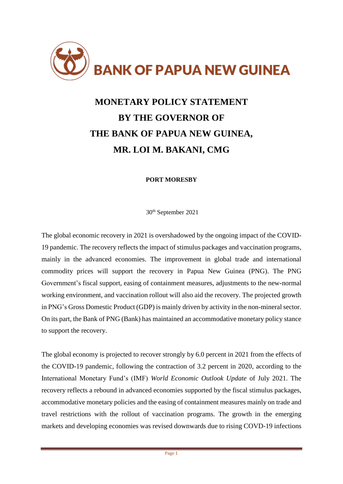

# **MONETARY POLICY STATEMENT BY THE GOVERNOR OF THE BANK OF PAPUA NEW GUINEA, MR. LOI M. BAKANI, CMG**

## **PORT MORESBY**

30 th September 2021

The global economic recovery in 2021 is overshadowed by the ongoing impact of the COVID-19 pandemic. The recovery reflects the impact of stimulus packages and vaccination programs, mainly in the advanced economies. The improvement in global trade and international commodity prices will support the recovery in Papua New Guinea (PNG). The PNG Government's fiscal support, easing of containment measures, adjustments to the new-normal working environment, and vaccination rollout will also aid the recovery. The projected growth in PNG's Gross Domestic Product (GDP) is mainly driven by activity in the non-mineral sector. On its part, the Bank of PNG (Bank) has maintained an accommodative monetary policy stance to support the recovery.

The global economy is projected to recover strongly by 6.0 percent in 2021 from the effects of the COVID-19 pandemic, following the contraction of 3.2 percent in 2020, according to the International Monetary Fund's (IMF) *World Economic Outlook Update* of July 2021. The recovery reflects a rebound in advanced economies supported by the fiscal stimulus packages, accommodative monetary policies and the easing of containment measures mainly on trade and travel restrictions with the rollout of vaccination programs. The growth in the emerging markets and developing economies was revised downwards due to rising COVD-19 infections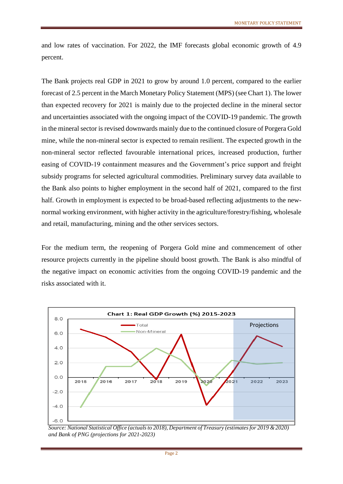and low rates of vaccination. For 2022, the IMF forecasts global economic growth of 4.9 percent.

The Bank projects real GDP in 2021 to grow by around 1.0 percent, compared to the earlier forecast of 2.5 percent in the March Monetary Policy Statement (MPS) (see Chart 1). The lower than expected recovery for 2021 is mainly due to the projected decline in the mineral sector and uncertainties associated with the ongoing impact of the COVID-19 pandemic. The growth in the mineral sector is revised downwards mainly due to the continued closure of Porgera Gold mine, while the non-mineral sector is expected to remain resilient. The expected growth in the non-mineral sector reflected favourable international prices, increased production, further easing of COVID-19 containment measures and the Government's price support and freight subsidy programs for selected agricultural commodities. Preliminary survey data available to the Bank also points to higher employment in the second half of 2021, compared to the first half. Growth in employment is expected to be broad-based reflecting adjustments to the newnormal working environment, with higher activity in the agriculture/forestry/fishing, wholesale and retail, manufacturing, mining and the other services sectors.

For the medium term, the reopening of Porgera Gold mine and commencement of other resource projects currently in the pipeline should boost growth. The Bank is also mindful of the negative impact on economic activities from the ongoing COVID-19 pandemic and the risks associated with it.



*Source: National Statistical Office (actuals to 2018), Department of Treasury (estimates for 2019 & 2020) and Bank of PNG (projections for 2021-2023)*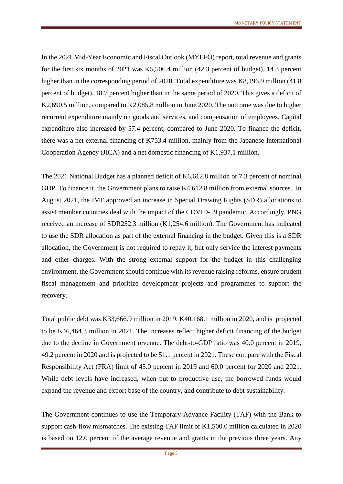In the 2021 Mid-Year Economic and Fiscal Outlook (MYEFO) report, total revenue and grants for the first six months of 2021 was K5,506.4 million (42.3 percent of budget), 14.3 percent higher than in the corresponding period of 2020. Total expenditure was K8,196.9 million (41.8 percent of budget), 18.7 percent higher than in the same period of 2020. This gives a deficit of K2,690.5 million, compared to K2,085.8 million in June 2020. The outcome was due to higher recurrent expenditure mainly on goods and services, and compensation of employees. Capital expenditure also increased by 57.4 percent, compared to June 2020. To finance the deficit, there was a net external financing of K753.4 million, mainly from the Japanese International Cooperation Agency (JICA) and a net domestic financing of K1,937.1 million.

The 2021 National Budget has a planned deficit of K6,612.8 million or 7.3 percent of nominal GDP. To finance it, the Government plans to raise K4,612.8 million from external sources. In August 2021, the IMF approved an increase in Special Drawing Rights (SDR) allocations to assist member countries deal with the impact of the COVID-19 pandemic. Accordingly, PNG received an increase of SDR252.3 million (K1,254.6 million). The Government has indicated to use the SDR allocation as part of the external financing in the budget. Given this is a SDR allocation, the Government is not required to repay it, but only service the interest payments and other charges. With the strong external support for the budget in this challenging environment, the Government should continue with its revenue raising reforms, ensure prudent fiscal management and prioritize development projects and programmes to support the recovery.

Total public debt was K33,666.9 million in 2019, K40,168.1 million in 2020, and is projected to be K46,464.3 million in 2021. The increases reflect higher deficit financing of the budget due to the decline in Government revenue. The debt-to-GDP ratio was 40.0 percent in 2019, 49.2 percent in 2020 and is projected to be 51.1 percent in 2021. These compare with the Fiscal Responsibility Act (FRA) limit of 45.0 percent in 2019 and 60.0 percent for 2020 and 2021. While debt levels have increased, when put to productive use, the borrowed funds would expand the revenue and export base of the country, and contribute to debt sustainability.

The Government continues to use the Temporary Advance Facility (TAF) with the Bank to support cash-flow mismatches. The existing TAF limit of K1,500.0 million calculated in 2020 is based on 12.0 percent of the average revenue and grants in the previous three years. Any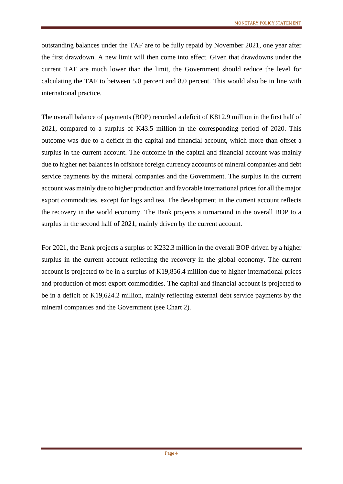outstanding balances under the TAF are to be fully repaid by November 2021, one year after the first drawdown. A new limit will then come into effect. Given that drawdowns under the current TAF are much lower than the limit, the Government should reduce the level for calculating the TAF to between 5.0 percent and 8.0 percent. This would also be in line with international practice.

The overall balance of payments (BOP) recorded a deficit of K812.9 million in the first half of 2021, compared to a surplus of K43.5 million in the corresponding period of 2020. This outcome was due to a deficit in the capital and financial account, which more than offset a surplus in the current account. The outcome in the capital and financial account was mainly due to higher net balances in offshore foreign currency accounts of mineral companies and debt service payments by the mineral companies and the Government. The surplus in the current account was mainly due to higher production and favorable international prices for all the major export commodities, except for logs and tea. The development in the current account reflects the recovery in the world economy. The Bank projects a turnaround in the overall BOP to a surplus in the second half of 2021, mainly driven by the current account.

For 2021, the Bank projects a surplus of K232.3 million in the overall BOP driven by a higher surplus in the current account reflecting the recovery in the global economy. The current account is projected to be in a surplus of K19,856.4 million due to higher international prices and production of most export commodities. The capital and financial account is projected to be in a deficit of K19,624.2 million, mainly reflecting external debt service payments by the mineral companies and the Government (see Chart 2).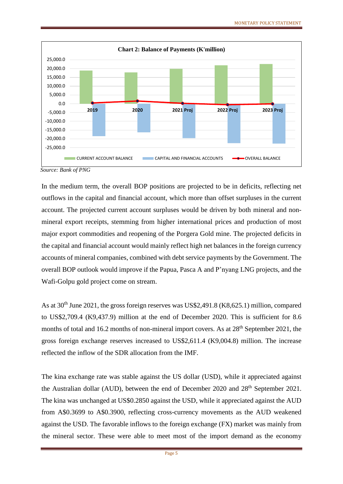

In the medium term, the overall BOP positions are projected to be in deficits, reflecting net outflows in the capital and financial account, which more than offset surpluses in the current account. The projected current account surpluses would be driven by both mineral and nonmineral export receipts, stemming from higher international prices and production of most major export commodities and reopening of the Porgera Gold mine. The projected deficits in the capital and financial account would mainly reflect high net balances in the foreign currency accounts of mineral companies, combined with debt service payments by the Government. The overall BOP outlook would improve if the Papua, Pasca A and P'nyang LNG projects, and the Wafi-Golpu gold project come on stream.

As at 30<sup>th</sup> June 2021, the gross foreign reserves was US\$2,491.8 (K8,625.1) million, compared to US\$2,709.4 (K9,437.9) million at the end of December 2020. This is sufficient for 8.6 months of total and 16.2 months of non-mineral import covers. As at  $28<sup>th</sup>$  September 2021, the gross foreign exchange reserves increased to US\$2,611.4 (K9,004.8) million. The increase reflected the inflow of the SDR allocation from the IMF.

The kina exchange rate was stable against the US dollar (USD), while it appreciated against the Australian dollar (AUD), between the end of December 2020 and 28<sup>th</sup> September 2021. The kina was unchanged at US\$0.2850 against the USD, while it appreciated against the AUD from A\$0.3699 to A\$0.3900, reflecting cross-currency movements as the AUD weakened against the USD. The favorable inflows to the foreign exchange (FX) market was mainly from the mineral sector. These were able to meet most of the import demand as the economy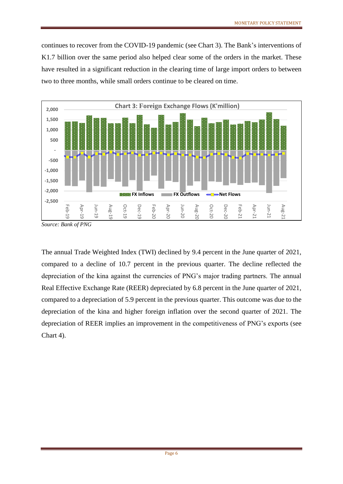continues to recover from the COVID-19 pandemic (see Chart 3). The Bank's interventions of K1.7 billion over the same period also helped clear some of the orders in the market. These have resulted in a significant reduction in the clearing time of large import orders to between two to three months, while small orders continue to be cleared on time.



The annual Trade Weighted Index (TWI) declined by 9.4 percent in the June quarter of 2021, compared to a decline of 10.7 percent in the previous quarter. The decline reflected the depreciation of the kina against the currencies of PNG's major trading partners. The annual Real Effective Exchange Rate (REER) depreciated by 6.8 percent in the June quarter of 2021, compared to a depreciation of 5.9 percent in the previous quarter. This outcome was due to the depreciation of the kina and higher foreign inflation over the second quarter of 2021. The depreciation of REER implies an improvement in the competitiveness of PNG's exports (see Chart 4).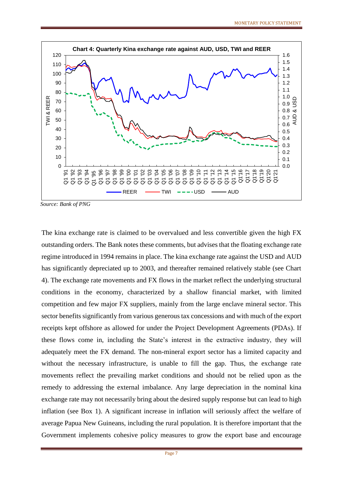

*Source: Bank of PNG*

The kina exchange rate is claimed to be overvalued and less convertible given the high FX outstanding orders. The Bank notes these comments, but advises that the floating exchange rate regime introduced in 1994 remains in place. The kina exchange rate against the USD and AUD has significantly depreciated up to 2003, and thereafter remained relatively stable (see Chart 4). The exchange rate movements and FX flows in the market reflect the underlying structural conditions in the economy, characterized by a shallow financial market, with limited competition and few major FX suppliers, mainly from the large enclave mineral sector. This sector benefits significantly from various generous tax concessions and with much of the export receipts kept offshore as allowed for under the Project Development Agreements (PDAs). If these flows come in, including the State's interest in the extractive industry, they will adequately meet the FX demand. The non-mineral export sector has a limited capacity and without the necessary infrastructure, is unable to fill the gap. Thus, the exchange rate movements reflect the prevailing market conditions and should not be relied upon as the remedy to addressing the external imbalance. Any large depreciation in the nominal kina exchange rate may not necessarily bring about the desired supply response but can lead to high inflation (see Box 1). A significant increase in inflation will seriously affect the welfare of average Papua New Guineans, including the rural population. It is therefore important that the Government implements cohesive policy measures to grow the export base and encourage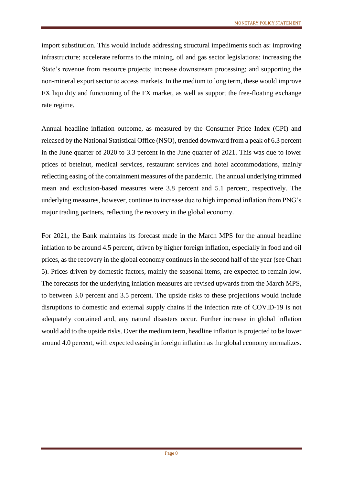import substitution. This would include addressing structural impediments such as: improving infrastructure; accelerate reforms to the mining, oil and gas sector legislations; increasing the State's revenue from resource projects; increase downstream processing; and supporting the non-mineral export sector to access markets. In the medium to long term, these would improve FX liquidity and functioning of the FX market, as well as support the free-floating exchange rate regime.

Annual headline inflation outcome, as measured by the Consumer Price Index (CPI) and released by the National Statistical Office (NSO), trended downward from a peak of 6.3 percent in the June quarter of 2020 to 3.3 percent in the June quarter of 2021. This was due to lower prices of betelnut, medical services, restaurant services and hotel accommodations, mainly reflecting easing of the containment measures of the pandemic. The annual underlying trimmed mean and exclusion-based measures were 3.8 percent and 5.1 percent, respectively. The underlying measures, however, continue to increase due to high imported inflation from PNG's major trading partners, reflecting the recovery in the global economy.

For 2021, the Bank maintains its forecast made in the March MPS for the annual headline inflation to be around 4.5 percent, driven by higher foreign inflation, especially in food and oil prices, as the recovery in the global economy continues in the second half of the year (see Chart 5). Prices driven by domestic factors, mainly the seasonal items, are expected to remain low. The forecasts for the underlying inflation measures are revised upwards from the March MPS, to between 3.0 percent and 3.5 percent. The upside risks to these projections would include disruptions to domestic and external supply chains if the infection rate of COVID-19 is not adequately contained and, any natural disasters occur. Further increase in global inflation would add to the upside risks. Over the medium term, headline inflation is projected to be lower around 4.0 percent, with expected easing in foreign inflation as the global economy normalizes.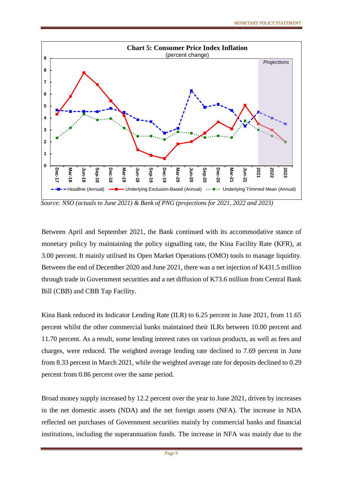

*Source: NSO (actuals to June 2021) & Bank of PNG (projections for 2021, 2022 and 2023)*

Between April and September 2021, the Bank continued with its accommodative stance of monetary policy by maintaining the policy signalling rate, the Kina Facility Rate (KFR), at 3.00 percent. It mainly utilised its Open Market Operations (OMO) tools to manage liquidity. Between the end of December 2020 and June 2021, there was a net injection of K431.5 million through trade in Government securities and a net diffusion of K73.6 million from Central Bank Bill (CBB) and CBB Tap Facility.

Kina Bank reduced its Indicator Lending Rate (ILR) to 6.25 percent in June 2021, from 11.65 percent whilst the other commercial banks maintained their ILRs between 10.00 percent and 11.70 percent. As a result, some lending interest rates on various products, as well as fees and charges, were reduced. The weighted average lending rate declined to 7.69 percent in June from 8.33 percent in March 2021, while the weighted average rate for deposits declined to 0.29 percent from 0.86 percent over the same period.

Broad money supply increased by 12.2 percent over the year to June 2021, driven by increases in the net domestic assets (NDA) and the net foreign assets (NFA). The increase in NDA reflected net purchases of Government securities mainly by commercial banks and financial institutions, including the superannuation funds. The increase in NFA was mainly due to the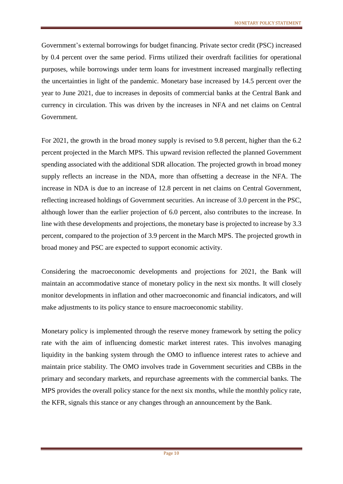Government's external borrowings for budget financing. Private sector credit (PSC) increased by 0.4 percent over the same period. Firms utilized their overdraft facilities for operational purposes, while borrowings under term loans for investment increased marginally reflecting the uncertainties in light of the pandemic. Monetary base increased by 14.5 percent over the year to June 2021, due to increases in deposits of commercial banks at the Central Bank and currency in circulation. This was driven by the increases in NFA and net claims on Central Government.

For 2021, the growth in the broad money supply is revised to 9.8 percent, higher than the 6.2 percent projected in the March MPS. This upward revision reflected the planned Government spending associated with the additional SDR allocation. The projected growth in broad money supply reflects an increase in the NDA, more than offsetting a decrease in the NFA. The increase in NDA is due to an increase of 12.8 percent in net claims on Central Government, reflecting increased holdings of Government securities. An increase of 3.0 percent in the PSC, although lower than the earlier projection of 6.0 percent, also contributes to the increase. In line with these developments and projections, the monetary base is projected to increase by 3.3 percent, compared to the projection of 3.9 percent in the March MPS. The projected growth in broad money and PSC are expected to support economic activity.

Considering the macroeconomic developments and projections for 2021, the Bank will maintain an accommodative stance of monetary policy in the next six months. It will closely monitor developments in inflation and other macroeconomic and financial indicators, and will make adjustments to its policy stance to ensure macroeconomic stability.

Monetary policy is implemented through the reserve money framework by setting the policy rate with the aim of influencing domestic market interest rates. This involves managing liquidity in the banking system through the OMO to influence interest rates to achieve and maintain price stability. The OMO involves trade in Government securities and CBBs in the primary and secondary markets, and repurchase agreements with the commercial banks. The MPS provides the overall policy stance for the next six months, while the monthly policy rate, the KFR, signals this stance or any changes through an announcement by the Bank.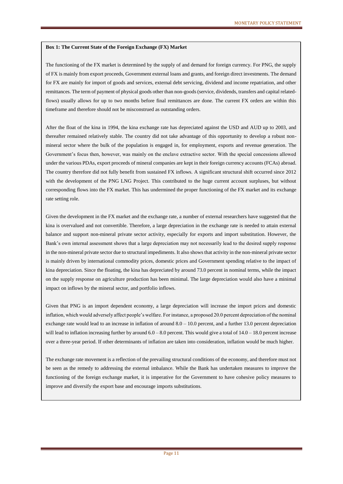#### **Box 1: The Current State of the Foreign Exchange (FX) Market**

The functioning of the FX market is determined by the supply of and demand for foreign currency. For PNG, the supply of FX is mainly from export proceeds, Government external loans and grants, and foreign direct investments. The demand for FX are mainly for import of goods and services, external debt servicing, dividend and income repatriation, and other remittances. The term of payment of physical goods other than non-goods (service, dividends, transfers and capital relatedflows) usually allows for up to two months before final remittances are done. The current FX orders are within this timeframe and therefore should not be misconstrued as outstanding orders.

After the float of the kina in 1994, the kina exchange rate has depreciated against the USD and AUD up to 2003, and thereafter remained relatively stable. The country did not take advantage of this opportunity to develop a robust nonmineral sector where the bulk of the population is engaged in, for employment, exports and revenue generation. The Government's focus then, however, was mainly on the enclave extractive sector. With the special concessions allowed under the various PDAs, export proceeds of mineral companies are kept in their foreign currency accounts (FCAs) abroad. The country therefore did not fully benefit from sustained FX inflows. A significant structural shift occurred since 2012 with the development of the PNG LNG Project. This contributed to the huge current account surpluses, but without corresponding flows into the FX market. This has undermined the proper functioning of the FX market and its exchange rate setting role.

Given the development in the FX market and the exchange rate, a number of external researchers have suggested that the kina is overvalued and not convertible. Therefore, a large depreciation in the exchange rate is needed to attain external balance and support non-mineral private sector activity, especially for exports and import substitution. However, the Bank's own internal assessment shows that a large depreciation may not necessarily lead to the desired supply response in the non-mineral private sector due to structural impediments. It also shows that activity in the non-mineral private sector is mainly driven by international commodity prices, domestic prices and Government spending relative to the impact of kina depreciation. Since the floating, the kina has depreciated by around 73.0 percent in nominal terms, while the impact on the supply response on agriculture production has been minimal. The large depreciation would also have a minimal impact on inflows by the mineral sector, and portfolio inflows.

Given that PNG is an import dependent economy, a large depreciation will increase the import prices and domestic inflation, which would adversely affect people's welfare. For instance, a proposed 20.0 percent depreciation of the nominal exchange rate would lead to an increase in inflation of around  $8.0 - 10.0$  percent, and a further 13.0 percent depreciation will lead to inflation increasing further by around  $6.0 - 8.0$  percent. This would give a total of  $14.0 - 18.0$  percent increase over a three-year period. If other determinants of inflation are taken into consideration, inflation would be much higher.

The exchange rate movement is a reflection of the prevailing structural conditions of the economy, and therefore must not be seen as the remedy to addressing the external imbalance. While the Bank has undertaken measures to improve the functioning of the foreign exchange market, it is imperative for the Government to have cohesive policy measures to improve and diversify the export base and encourage imports substitutions.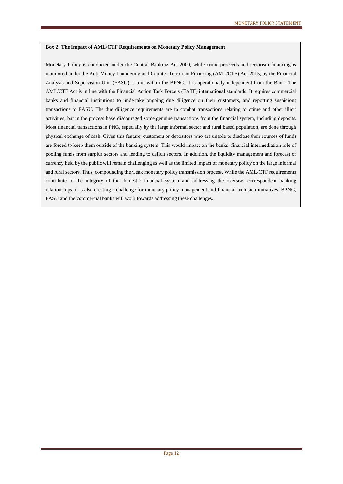#### **Box 2: The Impact of AML/CTF Requirements on Monetary Policy Management**

Monetary Policy is conducted under the Central Banking Act 2000, while crime proceeds and terrorism financing is monitored under the Anti-Money Laundering and Counter Terrorism Financing (AML/CTF) Act 2015, by the Financial Analysis and Supervision Unit (FASU), a unit within the BPNG. It is operationally independent from the Bank. The AML/CTF Act is in line with the Financial Action Task Force's (FATF) international standards. It requires commercial banks and financial institutions to undertake ongoing due diligence on their customers, and reporting suspicious transactions to FASU. The due diligence requirements are to combat transactions relating to crime and other illicit activities, but in the process have discouraged some genuine transactions from the financial system, including deposits. Most financial transactions in PNG, especially by the large informal sector and rural based population, are done through physical exchange of cash. Given this feature, customers or depositors who are unable to disclose their sources of funds are forced to keep them outside of the banking system. This would impact on the banks' financial intermediation role of pooling funds from surplus sectors and lending to deficit sectors. In addition, the liquidity management and forecast of currency held by the public will remain challenging as well as the limited impact of monetary policy on the large informal and rural sectors. Thus, compounding the weak monetary policy transmission process. While the AML/CTF requirements contribute to the integrity of the domestic financial system and addressing the overseas correspondent banking relationships, it is also creating a challenge for monetary policy management and financial inclusion initiatives. BPNG, FASU and the commercial banks will work towards addressing these challenges.